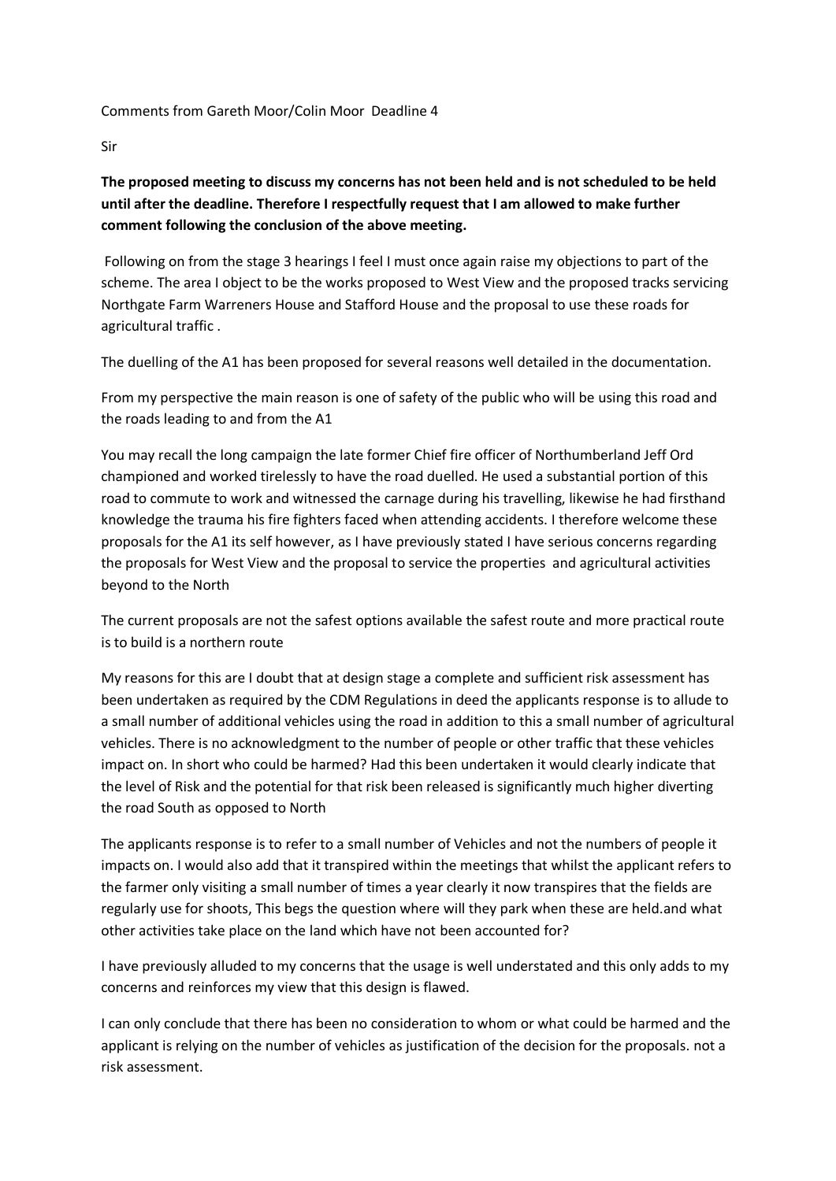## Comments from Gareth Moor/Colin Moor Deadline 4

Sir

## **The proposed meeting to discuss my concerns has not been held and is not scheduled to be held until after the deadline. Therefore I respectfully request that I am allowed to make further comment following the conclusion of the above meeting.**

Following on from the stage 3 hearings I feel I must once again raise my objections to part of the scheme. The area I object to be the works proposed to West View and the proposed tracks servicing Northgate Farm Warreners House and Stafford House and the proposal to use these roads for agricultural traffic .

The duelling of the A1 has been proposed for several reasons well detailed in the documentation.

From my perspective the main reason is one of safety of the public who will be using this road and the roads leading to and from the A1

You may recall the long campaign the late former Chief fire officer of Northumberland Jeff Ord championed and worked tirelessly to have the road duelled. He used a substantial portion of this road to commute to work and witnessed the carnage during his travelling, likewise he had firsthand knowledge the trauma his fire fighters faced when attending accidents. I therefore welcome these proposals for the A1 its self however, as I have previously stated I have serious concerns regarding the proposals for West View and the proposal to service the properties and agricultural activities beyond to the North

The current proposals are not the safest options available the safest route and more practical route is to build is a northern route

My reasons for this are I doubt that at design stage a complete and sufficient risk assessment has been undertaken as required by the CDM Regulations in deed the applicants response is to allude to a small number of additional vehicles using the road in addition to this a small number of agricultural vehicles. There is no acknowledgment to the number of people or other traffic that these vehicles impact on. In short who could be harmed? Had this been undertaken it would clearly indicate that the level of Risk and the potential for that risk been released is significantly much higher diverting the road South as opposed to North

The applicants response is to refer to a small number of Vehicles and not the numbers of people it impacts on. I would also add that it transpired within the meetings that whilst the applicant refers to the farmer only visiting a small number of times a year clearly it now transpires that the fields are regularly use for shoots, This begs the question where will they park when these are held.and what other activities take place on the land which have not been accounted for?

I have previously alluded to my concerns that the usage is well understated and this only adds to my concerns and reinforces my view that this design is flawed.

I can only conclude that there has been no consideration to whom or what could be harmed and the applicant is relying on the number of vehicles as justification of the decision for the proposals. not a risk assessment.